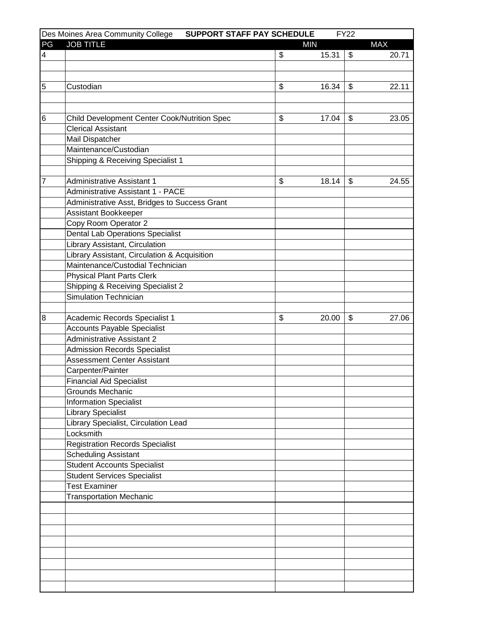|    | Des Moines Area Community College<br>SUPPORT STAFF PAY SCHEDULE |    |            | <b>FY22</b> |            |
|----|-----------------------------------------------------------------|----|------------|-------------|------------|
| PG | <b>JOB TITLE</b>                                                |    | <b>MIN</b> |             | <b>MAX</b> |
| 4  |                                                                 | \$ | 15.31      | \$          | 20.71      |
|    |                                                                 |    |            |             |            |
|    |                                                                 |    |            |             |            |
| 5  | Custodian                                                       | \$ | 16.34      | \$          | 22.11      |
|    |                                                                 |    |            |             |            |
|    |                                                                 |    |            |             |            |
| 6  | <b>Child Development Center Cook/Nutrition Spec</b>             | \$ | 17.04      | \$          | 23.05      |
|    | <b>Clerical Assistant</b>                                       |    |            |             |            |
|    | Mail Dispatcher                                                 |    |            |             |            |
|    | Maintenance/Custodian                                           |    |            |             |            |
|    | Shipping & Receiving Specialist 1                               |    |            |             |            |
|    |                                                                 |    |            |             |            |
|    | <b>Administrative Assistant 1</b>                               |    |            |             |            |
| 7  |                                                                 | \$ | 18.14      | \$          | 24.55      |
|    | <b>Administrative Assistant 1 - PACE</b>                        |    |            |             |            |
|    | Administrative Asst, Bridges to Success Grant                   |    |            |             |            |
|    | Assistant Bookkeeper                                            |    |            |             |            |
|    | Copy Room Operator 2                                            |    |            |             |            |
|    | <b>Dental Lab Operations Specialist</b>                         |    |            |             |            |
|    | Library Assistant, Circulation                                  |    |            |             |            |
|    | Library Assistant, Circulation & Acquisition                    |    |            |             |            |
|    | Maintenance/Custodial Technician                                |    |            |             |            |
|    | <b>Physical Plant Parts Clerk</b>                               |    |            |             |            |
|    | Shipping & Receiving Specialist 2                               |    |            |             |            |
|    | Simulation Technician                                           |    |            |             |            |
|    |                                                                 |    |            |             |            |
| 8  | Academic Records Specialist 1                                   | \$ | 20.00      | \$          | 27.06      |
|    | <b>Accounts Payable Specialist</b>                              |    |            |             |            |
|    | <b>Administrative Assistant 2</b>                               |    |            |             |            |
|    | <b>Admission Records Specialist</b>                             |    |            |             |            |
|    | <b>Assessment Center Assistant</b>                              |    |            |             |            |
|    | Carpenter/Painter                                               |    |            |             |            |
|    | <b>Financial Aid Specialist</b>                                 |    |            |             |            |
|    | <b>Grounds Mechanic</b>                                         |    |            |             |            |
|    | <b>Information Specialist</b>                                   |    |            |             |            |
|    | Library Specialist                                              |    |            |             |            |
|    | Library Specialist, Circulation Lead                            |    |            |             |            |
|    | Locksmith                                                       |    |            |             |            |
|    | <b>Registration Records Specialist</b>                          |    |            |             |            |
|    | <b>Scheduling Assistant</b>                                     |    |            |             |            |
|    | <b>Student Accounts Specialist</b>                              |    |            |             |            |
|    | <b>Student Services Specialist</b>                              |    |            |             |            |
|    | <b>Test Examiner</b>                                            |    |            |             |            |
|    | <b>Transportation Mechanic</b>                                  |    |            |             |            |
|    |                                                                 |    |            |             |            |
|    |                                                                 |    |            |             |            |
|    |                                                                 |    |            |             |            |
|    |                                                                 |    |            |             |            |
|    |                                                                 |    |            |             |            |
|    |                                                                 |    |            |             |            |
|    |                                                                 |    |            |             |            |
|    |                                                                 |    |            |             |            |
|    |                                                                 |    |            |             |            |
|    |                                                                 |    |            |             |            |